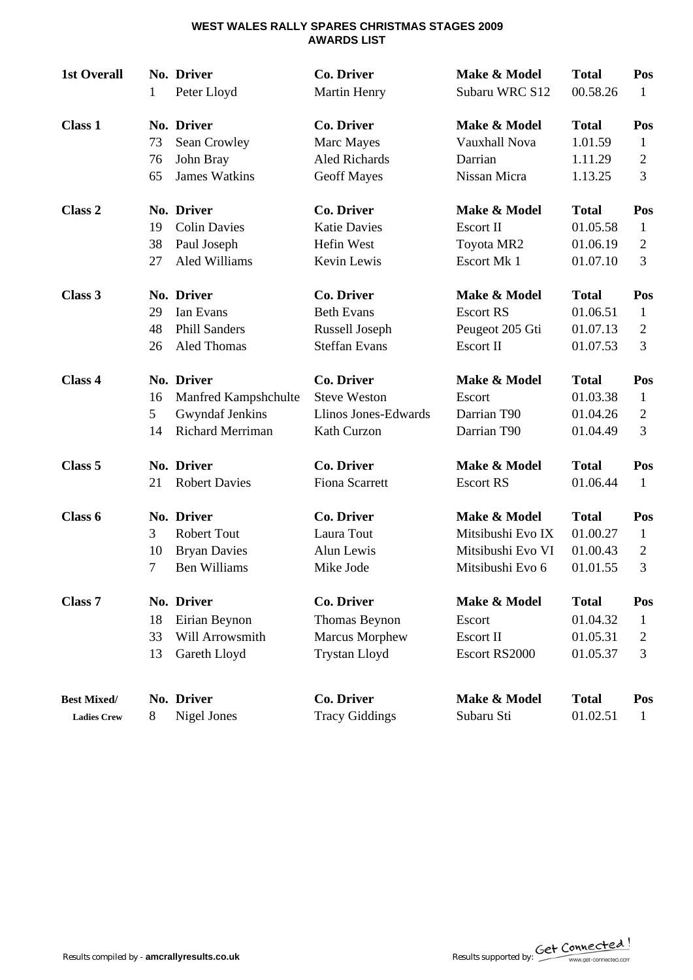### **WEST WALES RALLY SPARES CHRISTMAS STAGES 2009 AWARDS LIST**

| <b>1st Overall</b> | 1  | No. Driver<br>Peter Lloyd | <b>Co. Driver</b><br><b>Martin Henry</b> | Make & Model<br>Subaru WRC S12 | <b>Total</b><br>00.58.26 | Pos<br>1       |
|--------------------|----|---------------------------|------------------------------------------|--------------------------------|--------------------------|----------------|
| <b>Class 1</b>     |    | No. Driver                | <b>Co. Driver</b>                        | Make & Model                   | <b>Total</b>             | Pos            |
|                    | 73 | Sean Crowley              | Marc Mayes                               | Vauxhall Nova                  | 1.01.59                  | 1              |
|                    | 76 | John Bray                 | Aled Richards                            | Darrian                        | 1.11.29                  | $\overline{c}$ |
|                    | 65 | <b>James Watkins</b>      | <b>Geoff Mayes</b>                       | Nissan Micra                   | 1.13.25                  | 3              |
| Class 2            |    | No. Driver                | <b>Co. Driver</b>                        | Make & Model                   | <b>Total</b>             | Pos            |
|                    | 19 | <b>Colin Davies</b>       | <b>Katie Davies</b>                      | Escort II                      | 01.05.58                 | 1              |
|                    | 38 | Paul Joseph               | Hefin West                               | Toyota MR2                     | 01.06.19                 | $\overline{2}$ |
|                    | 27 | Aled Williams             | Kevin Lewis                              | Escort Mk 1                    | 01.07.10                 | $\overline{3}$ |
| Class 3            |    | No. Driver                | <b>Co. Driver</b>                        | Make & Model                   | <b>Total</b>             | Pos            |
|                    | 29 | Ian Evans                 | <b>Beth Evans</b>                        | <b>Escort RS</b>               | 01.06.51                 | 1              |
|                    | 48 | <b>Phill Sanders</b>      | Russell Joseph                           | Peugeot 205 Gti                | 01.07.13                 | $\overline{2}$ |
|                    | 26 | Aled Thomas               | <b>Steffan Evans</b>                     | <b>Escort II</b>               | 01.07.53                 | 3              |
| Class 4            |    | No. Driver                | Co. Driver                               | Make & Model                   | <b>Total</b>             | Pos            |
|                    | 16 | Manfred Kampshchulte      | <b>Steve Weston</b>                      | Escort                         | 01.03.38                 | $\mathbf{1}$   |
|                    | 5  | <b>Gwyndaf Jenkins</b>    | Llinos Jones-Edwards                     | Darrian T90                    | 01.04.26                 | $\overline{2}$ |
|                    | 14 | Richard Merriman          | Kath Curzon                              | Darrian T90                    | 01.04.49                 | 3              |
| Class <sub>5</sub> |    | No. Driver                | <b>Co. Driver</b>                        | Make & Model                   | <b>Total</b>             | Pos            |
|                    | 21 | <b>Robert Davies</b>      | <b>Fiona Scarrett</b>                    | <b>Escort RS</b>               | 01.06.44                 | 1              |
| Class 6            |    | No. Driver                | <b>Co. Driver</b>                        | Make & Model                   | <b>Total</b>             | Pos            |
|                    | 3  | <b>Robert Tout</b>        | Laura Tout                               | Mitsibushi Evo IX              | 01.00.27                 | 1              |
|                    | 10 | <b>Bryan Davies</b>       | Alun Lewis                               | Mitsibushi Evo VI              | 01.00.43                 | $\overline{2}$ |
|                    | 7  | <b>Ben Williams</b>       | Mike Jode                                | Mitsibushi Evo 6               | 01.01.55                 | 3              |
| Class <sub>7</sub> |    | No. Driver                | <b>Co. Driver</b>                        | Make & Model                   | <b>Total</b>             | Pos            |
|                    | 18 | Eirian Beynon             | Thomas Beynon                            | Escort                         | 01.04.32                 | 1              |
|                    | 33 | Will Arrowsmith           | <b>Marcus Morphew</b>                    | Escort II                      | 01.05.31                 | $\overline{c}$ |
|                    | 13 | Gareth Lloyd              | <b>Trystan Lloyd</b>                     | Escort RS2000                  | 01.05.37                 | 3              |
| <b>Best Mixed/</b> |    | No. Driver                | <b>Co. Driver</b>                        | Make & Model                   | <b>Total</b>             | Pos            |
| <b>Ladies Crew</b> | 8  | <b>Nigel Jones</b>        | <b>Tracy Giddings</b>                    | Subaru Sti                     | 01.02.51                 | $\mathbf{1}$   |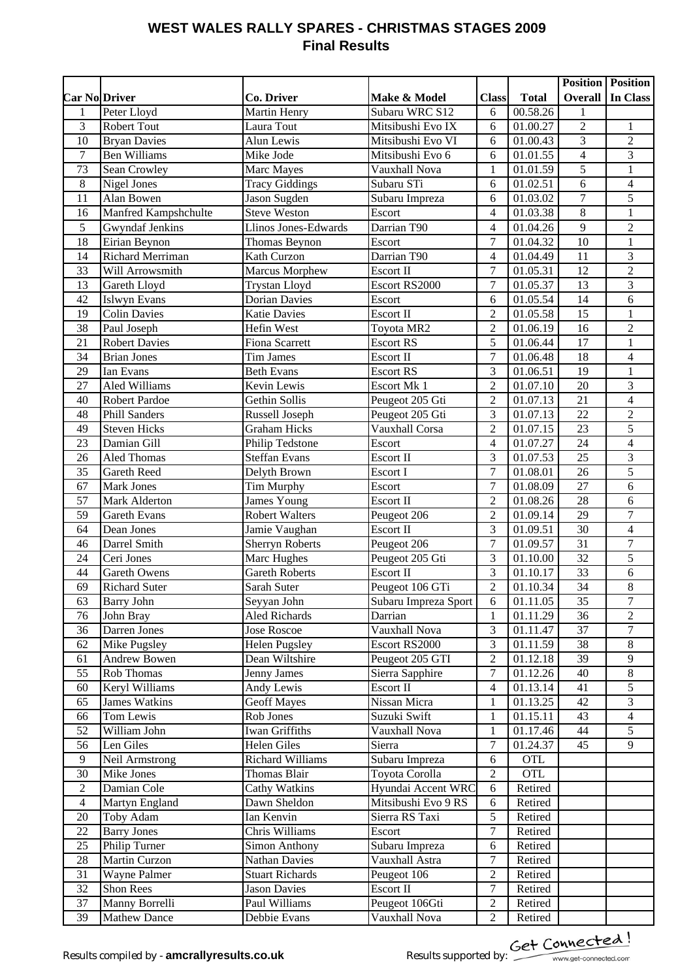# **WEST WALES RALLY SPARES - CHRISTMAS STAGES 2009 Final Results**

|                      |                         |                                      |                      |                     |              | <b>Position Position</b> |                  |
|----------------------|-------------------------|--------------------------------------|----------------------|---------------------|--------------|--------------------------|------------------|
| <b>Car No.Driver</b> |                         | Co. Driver                           | Make & Model         | <b>Class</b>        | <b>Total</b> | <b>Overall</b>           | In Class         |
| $\mathbf{1}$         | Peter Lloyd             | Martin Henry                         | Subaru WRC S12       | 6                   | 00.58.26     | 1                        |                  |
| 3                    | <b>Robert Tout</b>      | Laura Tout                           | Mitsibushi Evo IX    | 6                   | 01.00.27     | $\overline{2}$           | 1                |
| 10                   | <b>Bryan Davies</b>     | Alun Lewis                           | Mitsibushi Evo VI    | 6                   | 01.00.43     | 3                        | $\overline{c}$   |
| $\boldsymbol{7}$     | <b>Ben Williams</b>     | Mike Jode                            | Mitsibushi Evo 6     | 6                   | 01.01.55     | $\overline{4}$           | 3                |
| 73                   | Sean Crowley            | Marc Mayes                           | Vauxhall Nova        | $\mathbf{1}$        | 01.01.59     | 5                        | $\mathbf 1$      |
| $8\,$                | Nigel Jones             | <b>Tracy Giddings</b>                | Subaru STi           | 6                   | 01.02.51     | 6                        | $\overline{4}$   |
| 11                   | Alan Bowen              | Jason Sugden                         | Subaru Impreza       | 6                   | 01.03.02     | $\tau$                   | 5                |
| 16                   | Manfred Kampshchulte    | <b>Steve Weston</b>                  | Escort               | 4                   | 01.03.38     | 8                        | 1                |
| 5                    | Gwyndaf Jenkins         | Llinos Jones-Edwards                 | Darrian T90          | 4                   | 01.04.26     | 9                        | $\overline{c}$   |
| 18                   | Eirian Beynon           | <b>Thomas Beynon</b>                 | Escort               | $\overline{7}$      | 01.04.32     | 10                       | $\mathbf{1}$     |
| 14                   | <b>Richard Merriman</b> | Kath Curzon                          | Darrian T90          | 4                   | 01.04.49     | 11                       | 3                |
| 33                   | Will Arrowsmith         | Marcus Morphew                       | <b>Escort II</b>     | $\overline{7}$      | 01.05.31     | 12                       | $\overline{2}$   |
| 13                   | Gareth Lloyd            | <b>Trystan Lloyd</b>                 | Escort RS2000        | $\overline{7}$      | 01.05.37     | 13                       | 3                |
| 42                   | <b>Islwyn Evans</b>     | <b>Dorian Davies</b>                 | Escort               | 6                   | 01.05.54     | 14                       | 6                |
| 19                   | Colin Davies            | <b>Katie Davies</b>                  | Escort II            | $\overline{2}$      | 01.05.58     | 15                       | $\mathbf{1}$     |
| 38                   | Paul Joseph             | Hefin West                           | Toyota MR2           | $\overline{2}$      | 01.06.19     | 16                       | $\overline{c}$   |
| 21                   | <b>Robert Davies</b>    | <b>Fiona Scarrett</b>                | <b>Escort RS</b>     | 5                   | 01.06.44     | 17                       | $\mathbf{1}$     |
| 34                   | <b>Brian Jones</b>      | Tim James                            | Escort II            | $\overline{7}$      | 01.06.48     | $\overline{18}$          | $\overline{4}$   |
| 29                   | Ian Evans               | <b>Beth Evans</b>                    | <b>Escort RS</b>     | 3                   | 01.06.51     | 19                       | $\mathbf{1}$     |
| 27                   | Aled Williams           | Kevin Lewis                          | Escort Mk 1          | $\overline{2}$      | 01.07.10     | 20                       | $\overline{3}$   |
| 40                   | <b>Robert Pardoe</b>    | Gethin Sollis                        | Peugeot 205 Gti      | $\overline{2}$      | 01.07.13     | 21                       | $\overline{4}$   |
| 48                   | <b>Phill Sanders</b>    | Russell Joseph                       | Peugeot 205 Gti      | 3                   | 01.07.13     | 22                       | $\overline{2}$   |
| 49                   | <b>Steven Hicks</b>     | <b>Graham Hicks</b>                  | Vauxhall Corsa       | $\overline{2}$      | 01.07.15     | 23                       | $\overline{5}$   |
| 23                   | Damian Gill             | Philip Tedstone                      | Escort               | 4                   | 01.07.27     | 24                       | $\overline{4}$   |
| 26                   | <b>Aled Thomas</b>      | <b>Steffan Evans</b>                 | Escort II            | 3                   | 01.07.53     | 25                       | 3                |
| 35                   | <b>Gareth Reed</b>      | Delyth Brown                         | Escort I             | $\overline{7}$      | 01.08.01     | 26                       | $\overline{5}$   |
| 67                   | <b>Mark Jones</b>       | Tim Murphy                           | Escort               | $\overline{7}$      | 01.08.09     | 27                       | 6                |
| 57                   | <b>Mark Alderton</b>    | <b>James Young</b>                   | Escort II            | $\overline{2}$      | 01.08.26     | 28                       | 6                |
| 59                   | <b>Gareth Evans</b>     | <b>Robert Walters</b>                | Peugeot 206          | $\overline{2}$      | 01.09.14     | $\overline{29}$          | $\overline{7}$   |
| 64                   | Dean Jones              | Jamie Vaughan                        | Escort II            | $\overline{3}$      | 01.09.51     | 30                       | $\overline{4}$   |
| 46                   | Darrel Smith            | <b>Sherryn Roberts</b>               | Peugeot 206          | $\overline{7}$      | 01.09.57     | $\overline{31}$          | $\overline{7}$   |
| 24                   | Ceri Jones              | Marc Hughes                          | Peugeot 205 Gti      | 3                   | 01.10.00     | $\overline{32}$          | $\overline{5}$   |
| 44                   | Gareth Owens            | Gareth Roberts                       | Escort II            | 3                   | 01.10.17     | $\overline{33}$          | $\sqrt{6}$       |
| 69                   | <b>Richard Suter</b>    | Sarah Suter                          | Peugeot 106 GTi      | $\overline{2}$      | 01.10.34     | 34                       | $\overline{8}$   |
| 63                   | <b>Barry John</b>       | Seyyan John                          | Subaru Impreza Sport | 6                   | 01.11.05     | 35                       | 7                |
| 76                   | John Bray               | <b>Aled Richards</b>                 | Darrian              | $\mathbf{1}$        | 01.11.29     | 36                       | $\overline{2}$   |
| 36                   | Darren Jones            | Jose Roscoe                          | Vauxhall Nova        | 3                   | 01.11.47     | 37                       | $\boldsymbol{7}$ |
| 62                   | Mike Pugsley            | Helen Pugsley                        | Escort RS2000        | $\overline{3}$      | 01.11.59     | 38                       | $\,8\,$          |
| 61                   | Andrew Bowen            | Dean Wiltshire                       | Peugeot 205 GTI      | $\overline{2}$      | 01.12.18     | 39                       | 9                |
| 55                   | <b>Rob Thomas</b>       | <b>Jenny James</b>                   | Sierra Sapphire      | $\boldsymbol{7}$    | 01.12.26     | 40                       | $\,8\,$          |
| 60                   | Keryl Williams          | Andy Lewis                           | <b>Escort II</b>     | 4                   | 01.13.14     | 41                       | 5                |
| 65                   | <b>James Watkins</b>    | <b>Geoff Mayes</b>                   | Nissan Micra         | $\mathbf{1}$        | 01.13.25     | 42                       | 3                |
| 66                   | Tom Lewis               | Rob Jones                            | Suzuki Swift         | $\,1$               | 01.15.11     | 43                       | $\overline{4}$   |
| 52                   | William John            | <b>Iwan Griffiths</b>                | Vauxhall Nova        | $\mathbf{1}$        | 01.17.46     | 44                       | 5                |
| 56                   | Len Giles               | <b>Helen Giles</b>                   | Sierra               | $\overline{7}$      | 01.24.37     | 45                       | 9                |
| $\overline{9}$       | Neil Armstrong          | Richard Williams                     | Subaru Impreza       | 6                   | <b>OTL</b>   |                          |                  |
| 30                   | Mike Jones              | Thomas Blair                         | Toyota Corolla       | $\sqrt{2}$          | <b>OTL</b>   |                          |                  |
|                      |                         |                                      |                      |                     |              |                          |                  |
| $\sqrt{2}$           | Damian Cole             | <b>Cathy Watkins</b><br>Dawn Sheldon | Hyundai Accent WRC   | 6                   | Retired      |                          |                  |
| $\overline{4}$       | Martyn England          |                                      | Mitsibushi Evo 9 RS  | 6                   | Retired      |                          |                  |
| 20<br>22             | Toby Adam               | Ian Kenvin<br>Chris Williams         | Sierra RS Taxi       | 5<br>$\overline{7}$ | Retired      |                          |                  |
|                      | <b>Barry Jones</b>      |                                      | Escort               |                     | Retired      |                          |                  |
| 25                   | Philip Turner           | <b>Simon Anthony</b>                 | Subaru Impreza       | 6                   | Retired      |                          |                  |
| 28                   | Martin Curzon           | Nathan Davies                        | Vauxhall Astra       | 7                   | Retired      |                          |                  |
| 31                   | Wayne Palmer            | <b>Stuart Richards</b>               | Peugeot 106          | $\mathfrak{2}$      | Retired      |                          |                  |
| 32                   | Shon Rees               | <b>Jason Davies</b>                  | <b>Escort II</b>     | 7                   | Retired      |                          |                  |
| 37                   | Manny Borrelli          | Paul Williams                        | Peugeot 106Gti       | $\boldsymbol{2}$    | Retired      |                          |                  |
| 39                   | <b>Mathew Dance</b>     | Debbie Evans                         | Vauxhall Nova        | $\overline{2}$      | Retired      |                          |                  |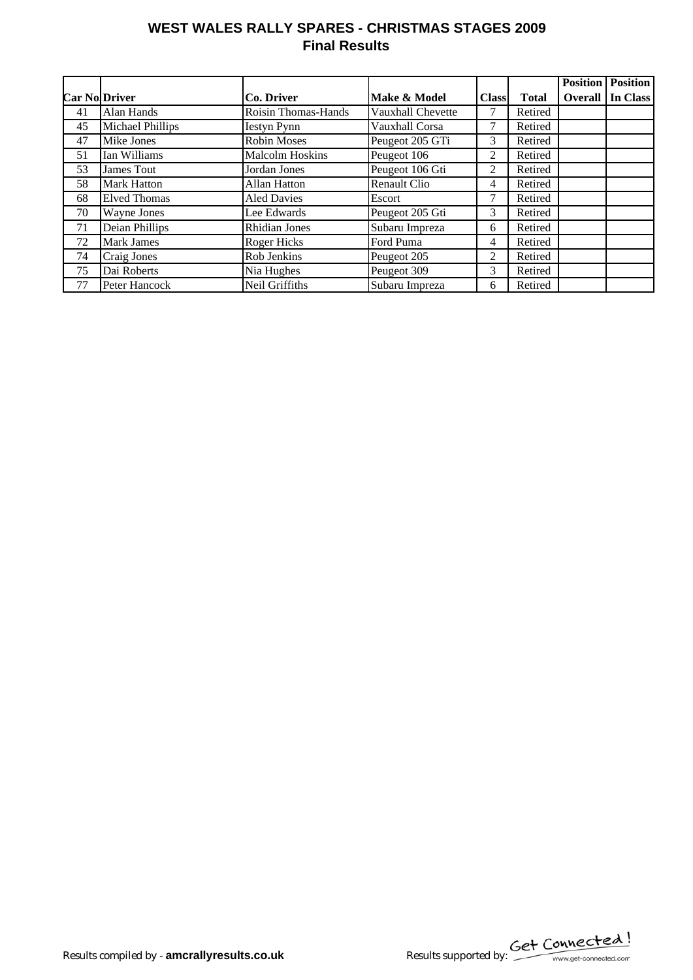# **WEST WALES RALLY SPARES - CHRISTMAS STAGES 2009 Final Results**

|                      |                         |                        |                     |                |              | <b>Position</b> | <b>Position</b> |
|----------------------|-------------------------|------------------------|---------------------|----------------|--------------|-----------------|-----------------|
| <b>Car No</b> Driver |                         | Co. Driver             | Make & Model        | <b>Class</b>   | <b>Total</b> | Overall         | In Class        |
| 41                   | Alan Hands              | Roisin Thomas-Hands    | Vauxhall Chevette   |                | Retired      |                 |                 |
| 45                   | <b>Michael Phillips</b> | <b>Iestyn Pynn</b>     | Vauxhall Corsa      | 7              | Retired      |                 |                 |
| 47                   | Mike Jones              | <b>Robin Moses</b>     | Peugeot 205 GTi     | 3              | Retired      |                 |                 |
| 51                   | Ian Williams            | <b>Malcolm Hoskins</b> | Peugeot 106         | 2              | Retired      |                 |                 |
| 53                   | James Tout              | Jordan Jones           | Peugeot 106 Gti     | 2              | Retired      |                 |                 |
| 58                   | <b>Mark Hatton</b>      | Allan Hatton           | <b>Renault Clio</b> | 4              | Retired      |                 |                 |
| 68                   | <b>Elved Thomas</b>     | <b>Aled Davies</b>     | Escort              |                | Retired      |                 |                 |
| 70                   | Wayne Jones             | Lee Edwards            | Peugeot 205 Gti     | 3              | Retired      |                 |                 |
| 71                   | Deian Phillips          | <b>Rhidian Jones</b>   | Subaru Impreza      | 6              | Retired      |                 |                 |
| 72                   | <b>Mark James</b>       | Roger Hicks            | Ford Puma           | 4              | Retired      |                 |                 |
| 74                   | Craig Jones             | Rob Jenkins            | Peugeot 205         | $\overline{c}$ | Retired      |                 |                 |
| 75                   | Dai Roberts             | Nia Hughes             | Peugeot 309         | 3              | Retired      |                 |                 |
| 77                   | Peter Hancock           | Neil Griffiths         | Subaru Impreza      | 6              | Retired      |                 |                 |

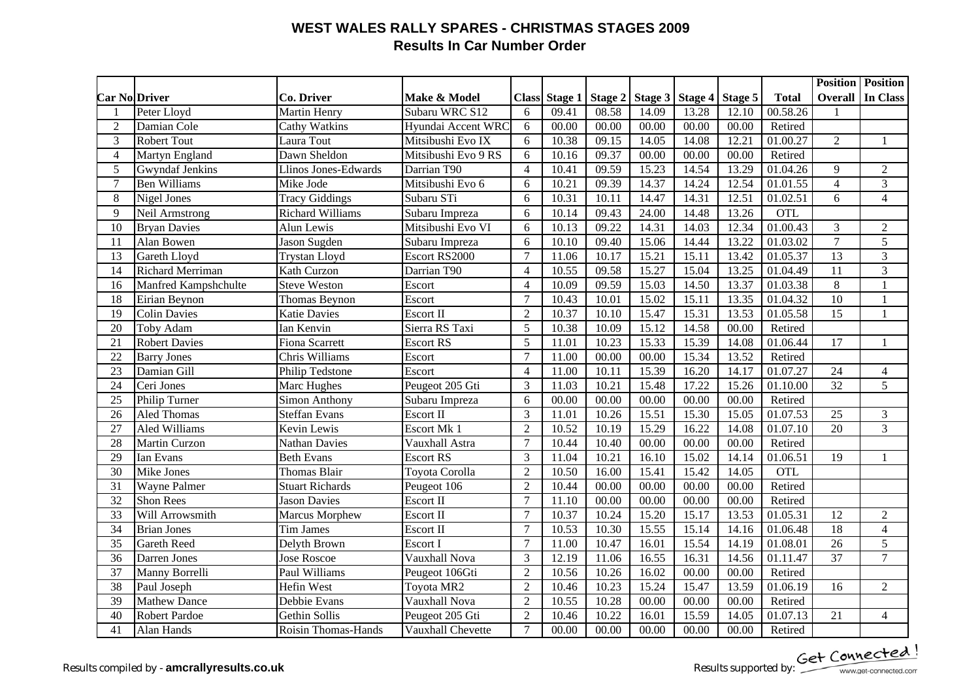## **WEST WALES RALLY SPARES - CHRISTMAS STAGES 2009 Results In Car Number Order**

|                 |                         |                         |                         |                          |               |       |                 |         |         |                       | <b>Position Position</b> |                |
|-----------------|-------------------------|-------------------------|-------------------------|--------------------------|---------------|-------|-----------------|---------|---------|-----------------------|--------------------------|----------------|
|                 | <b>Car No Driver</b>    | <b>Co. Driver</b>       | <b>Make &amp; Model</b> |                          | Class Stage 1 |       | Stage 2 Stage 3 | Stage 4 | Stage 5 | <b>Total</b>          | <b>Overall</b>           | In Class       |
| $\mathbf{1}$    | Peter Lloyd             | <b>Martin Henry</b>     | Subaru WRC S12          | 6                        | 09.41         | 08.58 | 14.09           | 13.28   | 12.10   | 00.58.26              |                          |                |
| 2               | Damian Cole             | Cathy Watkins           | Hyundai Accent WRC      | 6                        | 00.00         | 00.00 | 00.00           | 00.00   | 00.00   | Retired               |                          |                |
| 3               | <b>Robert Tout</b>      | Laura Tout              | Mitsibushi Evo IX       | 6                        | 10.38         | 09.15 | 14.05           | 14.08   | 12.21   | 01.00.27              | $\overline{2}$           | $\mathbf{1}$   |
| $\overline{4}$  | Martyn England          | Dawn Sheldon            | Mitsibushi Evo 9 RS     | 6                        | 10.16         | 09.37 | 00.00           | 00.00   | 00.00   | Retired               |                          |                |
| 5               | <b>Gwyndaf Jenkins</b>  | Llinos Jones-Edwards    | Darrian T90             | $\overline{\mathcal{A}}$ | 10.41         | 09.59 | 15.23           | 14.54   | 13.29   | 01.04.26              | 9                        | $\overline{2}$ |
| 7               | <b>Ben Williams</b>     | Mike Jode               | Mitsibushi Evo 6        | 6                        | 10.21         | 09.39 | 14.37           | 14.24   | 12.54   | 01.01.55              | $\overline{4}$           | 3              |
| 8               | Nigel Jones             | <b>Tracy Giddings</b>   | Subaru STi              | 6                        | 10.31         | 10.11 | 14.47           | 14.31   | 12.51   | $\overline{01.02.51}$ | 6                        | $\overline{4}$ |
| 9               | Neil Armstrong          | <b>Richard Williams</b> | Subaru Impreza          | 6                        | 10.14         | 09.43 | 24.00           | 14.48   | 13.26   | <b>OTL</b>            |                          |                |
| 10              | <b>Bryan Davies</b>     | Alun Lewis              | Mitsibushi Evo VI       | 6                        | 10.13         | 09.22 | 14.31           | 14.03   | 12.34   | 01.00.43              | 3                        | $\sqrt{2}$     |
| 11              | Alan Bowen              | Jason Sugden            | Subaru Impreza          | 6                        | 10.10         | 09.40 | 15.06           | 14.44   | 13.22   | 01.03.02              | $\overline{7}$           | $\overline{5}$ |
| 13              | Gareth Lloyd            | <b>Trystan Lloyd</b>    | Escort RS2000           | $\overline{7}$           | 11.06         | 10.17 | 15.21           | 15.11   | 13.42   | 01.05.37              | 13                       | 3              |
| 14              | <b>Richard Merriman</b> | Kath Curzon             | Darrian T90             | $\overline{4}$           | 10.55         | 09.58 | 15.27           | 15.04   | 13.25   | 01.04.49              | 11                       | 3              |
| 16              | Manfred Kampshchulte    | <b>Steve Weston</b>     | Escort                  | $\overline{4}$           | 10.09         | 09.59 | 15.03           | 14.50   | 13.37   | 01.03.38              | $\overline{8}$           | $\mathbf{1}$   |
| 18              | Eirian Beynon           | Thomas Beynon           | Escort                  | $\overline{7}$           | 10.43         | 10.01 | 15.02           | 15.11   | 13.35   | 01.04.32              | 10                       | $\mathbf{1}$   |
| 19              | <b>Colin Davies</b>     | <b>Katie Davies</b>     | Escort II               | $\overline{2}$           | 10.37         | 10.10 | 15.47           | 15.31   | 13.53   | 01.05.58              | 15                       | $\mathbf{1}$   |
| 20              | Toby Adam               | Ian Kenvin              | Sierra RS Taxi          | 5                        | 10.38         | 10.09 | 15.12           | 14.58   | 00.00   | Retired               |                          |                |
| 21              | <b>Robert Davies</b>    | Fiona Scarrett          | <b>Escort RS</b>        | 5                        | 11.01         | 10.23 | 15.33           | 15.39   | 14.08   | $\overline{0}1.06.44$ | $\overline{17}$          |                |
| 22              | <b>Barry Jones</b>      | Chris Williams          | Escort                  | $\overline{7}$           | 11.00         | 00.00 | 00.00           | 15.34   | 13.52   | Retired               |                          |                |
| 23              | Damian Gill             | Philip Tedstone         | Escort                  | $\overline{4}$           | 11.00         | 10.11 | 15.39           | 16.20   | 14.17   | $\overline{01.07.27}$ | 24                       | $\overline{4}$ |
| 24              | Ceri Jones              | Marc Hughes             | Peugeot 205 Gti         | 3                        | 11.03         | 10.21 | 15.48           | 17.22   | 15.26   | 01.10.00              | $\overline{32}$          | $\overline{5}$ |
| 25              | Philip Turner           | <b>Simon Anthony</b>    | Subaru Impreza          | 6                        | 00.00         | 00.00 | 00.00           | 00.00   | 00.00   | Retired               |                          |                |
| 26              | <b>Aled Thomas</b>      | <b>Steffan Evans</b>    | Escort II               | $\overline{3}$           | 11.01         | 10.26 | 15.51           | 15.30   | 15.05   | 01.07.53              | 25                       | 3              |
| 27              | <b>Aled Williams</b>    | Kevin Lewis             | Escort Mk 1             | $\overline{2}$           | 10.52         | 10.19 | 15.29           | 16.22   | 14.08   | 01.07.10              | $\overline{20}$          | $\overline{3}$ |
| 28              | <b>Martin Curzon</b>    | <b>Nathan Davies</b>    | Vauxhall Astra          | $\overline{7}$           | 10.44         | 10.40 | 00.00           | 00.00   | 00.00   | Retired               |                          |                |
| 29              | Ian Evans               | <b>Beth Evans</b>       | <b>Escort RS</b>        | 3                        | 11.04         | 10.21 | 16.10           | 15.02   | 14.14   | 01.06.51              | $\overline{19}$          | $\overline{1}$ |
| 30              | Mike Jones              | <b>Thomas Blair</b>     | Toyota Corolla          | $\overline{2}$           | 10.50         | 16.00 | 15.41           | 15.42   | 14.05   | OTL                   |                          |                |
| 31              | <b>Wayne Palmer</b>     | <b>Stuart Richards</b>  | Peugeot 106             | $\overline{2}$           | 10.44         | 00.00 | 00.00           | 00.00   | 00.00   | Retired               |                          |                |
| 32              | <b>Shon Rees</b>        | <b>Jason Davies</b>     | Escort II               | $\overline{7}$           | 11.10         | 00.00 | 00.00           | 00.00   | 00.00   | Retired               |                          |                |
| 33              | Will Arrowsmith         | <b>Marcus Morphew</b>   | Escort II               | $\overline{7}$           | 10.37         | 10.24 | 15.20           | 15.17   | 13.53   | 01.05.31              | 12                       | $\overline{2}$ |
| 34              | <b>Brian Jones</b>      | <b>Tim James</b>        | Escort II               | $\overline{7}$           | 10.53         | 10.30 | 15.55           | 15.14   | 14.16   | $\overline{0}1.06.48$ | 18                       | $\overline{4}$ |
| 35              | <b>Gareth Reed</b>      | Delyth Brown            | Escort I                | $\overline{7}$           | 11.00         | 10.47 | 16.01           | 15.54   | 14.19   | 01.08.01              | 26                       | $\overline{5}$ |
| 36              | Darren Jones            | <b>Jose Roscoe</b>      | Vauxhall Nova           | 3                        | 12.19         | 11.06 | 16.55           | 16.31   | 14.56   | 01.11.47              | 37                       | $\overline{7}$ |
| $\overline{37}$ | Manny Borrelli          | Paul Williams           | Peugeot 106Gti          | $\overline{2}$           | 10.56         | 10.26 | 16.02           | 00.00   | 00.00   | Retired               |                          |                |
| 38              | Paul Joseph             | <b>Hefin West</b>       | <b>Toyota MR2</b>       | $\overline{2}$           | 10.46         | 10.23 | 15.24           | 15.47   | 13.59   | 01.06.19              | 16                       | $\overline{2}$ |
| 39              | <b>Mathew Dance</b>     | Debbie Evans            | Vauxhall Nova           | $\overline{2}$           | 10.55         | 10.28 | 00.00           | 00.00   | 00.00   | Retired               |                          |                |
| 40              | <b>Robert Pardoe</b>    | Gethin Sollis           | Peugeot 205 Gti         | $\overline{2}$           | 10.46         | 10.22 | 16.01           | 15.59   | 14.05   | 01.07.13              | 21                       | $\overline{4}$ |
| 41              | Alan Hands              | Roisin Thomas-Hands     | Vauxhall Chevette       | $\overline{7}$           | 00.00         | 00.00 | 00.00           | 00.00   | 00.00   | Retired               |                          |                |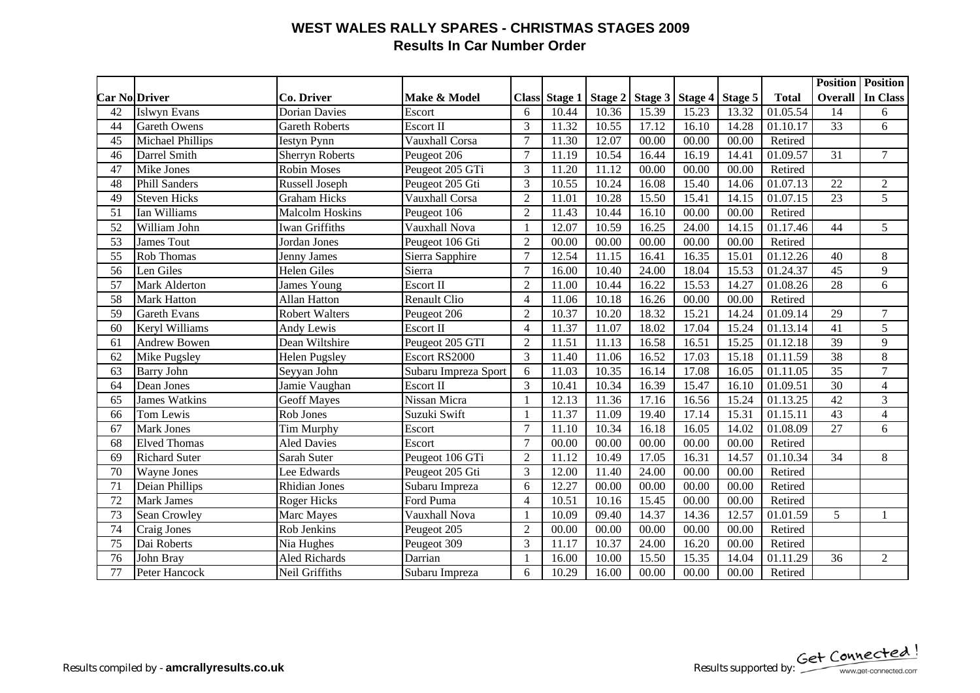## **WEST WALES RALLY SPARES - CHRISTMAS STAGES 2009 Results In Car Number Order**

|                 |                      |                        |                         |                |               |                    |       |                    |         |                       |                 | <b>Position Position</b> |
|-----------------|----------------------|------------------------|-------------------------|----------------|---------------|--------------------|-------|--------------------|---------|-----------------------|-----------------|--------------------------|
|                 | Car No.Driver        | Co. Driver             | <b>Make &amp; Model</b> |                | Class Stage 1 | Stage 2            |       | Stage 3 Stage 4    | Stage 5 | <b>Total</b>          |                 | <b>Overall In Class</b>  |
| 42              | <b>Islwyn Evans</b>  | <b>Dorian Davies</b>   | Escort                  | 6              | 10.44         | 10.36              | 15.39 | 15.23              | 13.32   | 01.05.54              | 14              | 6                        |
| 44              | <b>Gareth Owens</b>  | <b>Gareth Roberts</b>  | Escort II               | 3              | 11.32         | 10.55              | 17.12 | 16.10              | 14.28   | 01.10.17              | 33              | 6                        |
| 45              | Michael Phillips     | <b>Iestyn Pynn</b>     | <b>Vauxhall Corsa</b>   | $\overline{7}$ | 11.30         | 12.07              | 00.00 | 00.00              | 00.00   | Retired               |                 |                          |
| 46              | Darrel Smith         | <b>Sherryn Roberts</b> | Peugeot 206             | $\overline{7}$ | 11.19         | 10.54              | 16.44 | 16.19              | 14.41   | 01.09.57              | 31              | $\tau$                   |
| 47              | Mike Jones           | <b>Robin Moses</b>     | Peugeot 205 GTi         | 3              | 11.20         | 11.12              | 00.00 | 00.00              | 00.00   | Retired               |                 |                          |
| 48              | <b>Phill Sanders</b> | Russell Joseph         | Peugeot 205 Gti         | 3              | 10.55         | 10.24              | 16.08 | 15.40              | 14.06   | 01.07.13              | $\overline{22}$ | $\sqrt{2}$               |
| 49              | <b>Steven Hicks</b>  | <b>Graham Hicks</b>    | Vauxhall Corsa          | $\overline{2}$ | 11.01         | 10.28              | 15.50 | 15.41              | 14.15   | 01.07.15              | $\overline{23}$ | $\overline{5}$           |
| 51              | Ian Williams         | <b>Malcolm Hoskins</b> | Peugeot 106             | $\overline{2}$ | 11.43         | 10.44              | 16.10 | 00.00              | 00.00   | Retired               |                 |                          |
| $\overline{52}$ | William John         | <b>Iwan Griffiths</b>  | Vauxhall Nova           |                | 12.07         | 10.59              | 16.25 | 24.00              | 14.15   | 01.17.46              | 44              | 5                        |
| 53              | <b>James Tout</b>    | Jordan Jones           | Peugeot 106 Gti         | $\overline{2}$ | 00.00         | 00.00              | 00.00 | 00.00              | 00.00   | Retired               |                 |                          |
| 55              | Rob Thomas           | Jenny James            | Sierra Sapphire         | $\overline{7}$ | 12.54         | 11.15              | 16.41 | 16.35              | 15.01   | $\overline{01.12.26}$ | 40              | $\,8\,$                  |
| 56              | Len Giles            | <b>Helen Giles</b>     | Sierra                  | $\overline{7}$ | 16.00         | 10.40              | 24.00 | 18.04              | 15.53   | 01.24.37              | 45              | 9                        |
| $\overline{57}$ | <b>Mark Alderton</b> | <b>James Young</b>     | Escort II               | $\overline{2}$ | 11.00         | $\overline{10.44}$ | 16.22 | 15.53              | 14.27   | $\overline{01.08.26}$ | 28              | $\overline{6}$           |
| 58              | <b>Mark Hatton</b>   | Allan Hatton           | <b>Renault Clio</b>     | $\overline{4}$ | 11.06         | 10.18              | 16.26 | 00.00              | 00.00   | Retired               |                 |                          |
| 59              | <b>Gareth Evans</b>  | <b>Robert Walters</b>  | Peugeot 206             | $\overline{2}$ | 10.37         | 10.20              | 18.32 | 15.21              | 14.24   | 01.09.14              | $\overline{29}$ | $\overline{7}$           |
| 60              | Keryl Williams       | Andy Lewis             | Escort II               | $\overline{4}$ | 11.37         | 11.07              | 18.02 | 17.04              | 15.24   | 01.13.14              | $\overline{41}$ | $\overline{5}$           |
| 61              | <b>Andrew Bowen</b>  | Dean Wiltshire         | Peugeot 205 GTI         | $\overline{2}$ | 11.51         | 11.13              | 16.58 | 16.51              | 15.25   | 01.12.18              | 39              | $\overline{9}$           |
| 62              | Mike Pugsley         | Helen Pugsley          | Escort RS2000           | 3              | 11.40         | 11.06              | 16.52 | 17.03              | 15.18   | 01.11.59              | $\overline{38}$ | $\overline{8}$           |
| 63              | <b>Barry John</b>    | Seyyan John            | Subaru Impreza Sport    | 6              | 11.03         | 10.35              | 16.14 | 17.08              | 16.05   | $\overline{01.1}1.05$ | $\overline{35}$ | $\overline{7}$           |
| 64              | Dean Jones           | Jamie Vaughan          | Escort II               | 3              | 10.41         | 10.34              | 16.39 | 15.47              | 16.10   | 01.09.51              | 30              | $\overline{4}$           |
| 65              | <b>James Watkins</b> | <b>Geoff Mayes</b>     | Nissan Micra            |                | 12.13         | 11.36              | 17.16 | 16.56              | 15.24   | 01.13.25              | 42              | $\overline{3}$           |
| 66              | Tom Lewis            | Rob Jones              | Suzuki Swift            | $\overline{1}$ | 11.37         | 11.09              | 19.40 | 17.14              | 15.31   | 01.15.11              | $\overline{43}$ | $\overline{4}$           |
| 67              | <b>Mark Jones</b>    | Tim Murphy             | Escort                  | $\overline{7}$ | 11.10         | 10.34              | 16.18 | 16.05              | 14.02   | 01.08.09              | $\overline{27}$ | 6                        |
| 68              | <b>Elved Thomas</b>  | <b>Aled Davies</b>     | Escort                  | $\overline{7}$ | 00.00         | 00.00              | 00.00 | 00.00              | 00.00   | Retired               |                 |                          |
| 69              | <b>Richard Suter</b> | Sarah Suter            | Peugeot 106 GTi         | $\overline{2}$ | 11.12         | 10.49              | 17.05 | 16.31              | 14.57   | 01.10.34              | $\overline{34}$ | $\,8\,$                  |
| 70              | Wayne Jones          | Lee Edwards            | Peugeot 205 Gti         | 3              | 12.00         | 11.40              | 24.00 | 00.00              | 00.00   | Retired               |                 |                          |
| 71              | Deian Phillips       | <b>Rhidian Jones</b>   | Subaru Impreza          | 6              | 12.27         | 00.00              | 00.00 | 00.00              | 00.00   | Retired               |                 |                          |
| 72              | <b>Mark James</b>    | Roger Hicks            | Ford Puma               | $\overline{4}$ | 10.51         | 10.16              | 15.45 | 00.00              | 00.00   | Retired               |                 |                          |
| $\overline{73}$ | Sean Crowley         | Marc Mayes             | Vauxhall Nova           |                | 10.09         | 09.40              | 14.37 | $14.\overline{36}$ | 12.57   | 01.01.59              | $\overline{5}$  |                          |
| 74              | Craig Jones          | Rob Jenkins            | Peugeot 205             | $\overline{2}$ | 00.00         | 00.00              | 00.00 | 00.00              | 00.00   | Retired               |                 |                          |
| 75              | Dai Roberts          | Nia Hughes             | Peugeot 309             | 3              | 11.17         | 10.37              | 24.00 | 16.20              | 00.00   | Retired               |                 |                          |
| 76              | John Bray            | <b>Aled Richards</b>   | Darrian                 |                | 16.00         | 10.00              | 15.50 | 15.35              | 14.04   | 01.11.29              | 36              | $\overline{2}$           |
| 77              | Peter Hancock        | Neil Griffiths         | Subaru Impreza          | 6              | 10.29         | 16.00              | 00.00 | 00.00              | 00.00   | Retired               |                 |                          |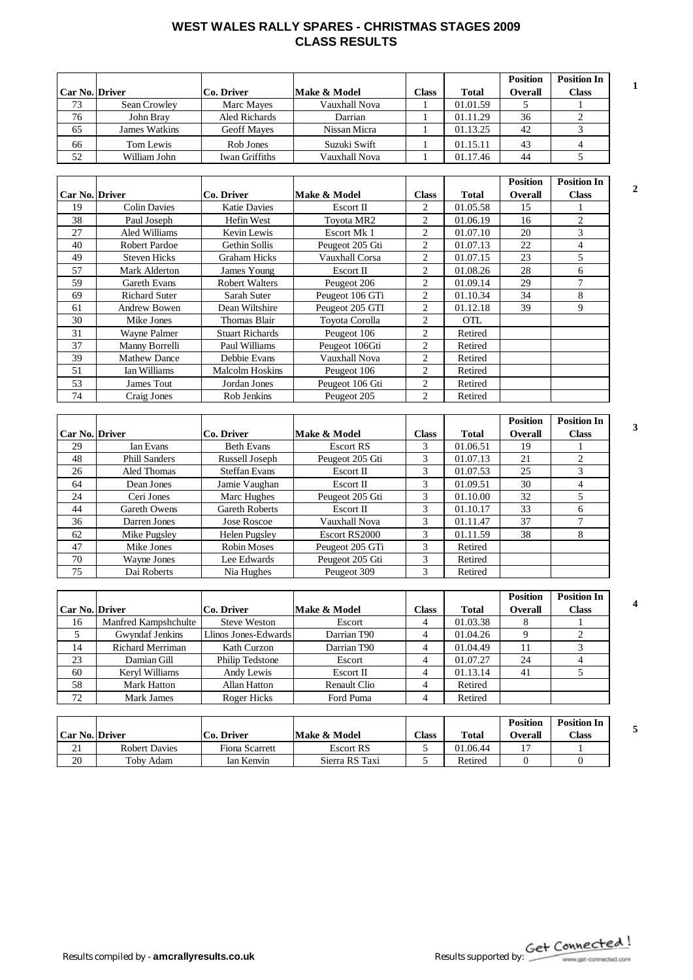### **WEST WALES RALLY SPARES - CHRISTMAS STAGES 2009 CLASS RESULTS**

|                       |               |                |               |              |              | <b>Position</b> | <b>Position In</b> |  |
|-----------------------|---------------|----------------|---------------|--------------|--------------|-----------------|--------------------|--|
| <b>Car No. Driver</b> |               | Co. Driver     | Make & Model  | <b>Class</b> | <b>Total</b> | Overall         | Class              |  |
| 73                    | Sean Crowley  | Marc Mayes     | Vauxhall Nova |              | 01.01.59     |                 |                    |  |
| 76                    | John Brav     | Aled Richards  | Darrian       |              | 01.11.29     | 36              |                    |  |
| 65                    | James Watkins | Geoff Maves    | Nissan Micra  |              | 01.13.25     | 42              |                    |  |
| 66                    | Tom Lewis     | Rob Jones      | Suzuki Swift  |              | 01.15.11     | 43              |                    |  |
| 52                    | William John  | Iwan Griffiths | Vauxhall Nova |              | 01.17.46     | 44              |                    |  |

|                       |                      |                        |                 |                |            | <b>Position</b> | <b>Position In</b> |   |
|-----------------------|----------------------|------------------------|-----------------|----------------|------------|-----------------|--------------------|---|
| <b>Car No. Driver</b> |                      | Co. Driver             | Make & Model    | <b>Class</b>   | Total      | <b>Overall</b>  | <b>Class</b>       | 2 |
| 19                    | <b>Colin Davies</b>  | <b>Katie Davies</b>    | Escort II       | 2              | 01.05.58   | 15              |                    |   |
| 38                    | Paul Joseph          | Hefin West             | Toyota MR2      | 2              | 01.06.19   | 16              | 2                  |   |
| 27                    | Aled Williams        | Kevin Lewis            | Escort Mk 1     | 2              | 01.07.10   | 20              | 3                  |   |
| 40                    | Robert Pardoe        | Gethin Sollis          | Peugeot 205 Gti | 2              | 01.07.13   | 22              | $\overline{4}$     |   |
| 49                    | <b>Steven Hicks</b>  | Graham Hicks           | Vauxhall Corsa  | 2              | 01.07.15   | 23              | 5                  |   |
| 57                    | Mark Alderton        | James Young            | Escort II       | 2              | 01.08.26   | 28              | 6                  |   |
| 59                    | Gareth Evans         | <b>Robert Walters</b>  | Peugeot 206     | 2              | 01.09.14   | 29              | $\overline{7}$     |   |
| 69                    | <b>Richard Suter</b> | Sarah Suter            | Peugeot 106 GTi | 2              | 01.10.34   | 34              | 8                  |   |
| 61                    | Andrew Bowen         | Dean Wiltshire         | Peugeot 205 GTI | 2              | 01.12.18   | 39              | 9                  |   |
| 30                    | Mike Jones           | Thomas Blair           | Toyota Corolla  | 2              | <b>OTL</b> |                 |                    |   |
| 31                    | Wayne Palmer         | <b>Stuart Richards</b> | Peugeot 106     | 2              | Retired    |                 |                    |   |
| 37                    | Manny Borrelli       | Paul Williams          | Peugeot 106Gti  | 2              | Retired    |                 |                    |   |
| 39                    | <b>Mathew Dance</b>  | Debbie Evans           | Vauxhall Nova   | $\overline{c}$ | Retired    |                 |                    |   |
| 51                    | Ian Williams         | Malcolm Hoskins        | Peugeot 106     | 2              | Retired    |                 |                    |   |
| 53                    | James Tout           | Jordan Jones           | Peugeot 106 Gti | 2              | Retired    |                 |                    |   |
| 74                    | Craig Jones          | Rob Jenkins            | Peugeot 205     | $\overline{2}$ | Retired    |                 |                    |   |

|                       |                      |                       |                 |              |              | <b>Position</b> | <b>Position In</b> |  |
|-----------------------|----------------------|-----------------------|-----------------|--------------|--------------|-----------------|--------------------|--|
| <b>Car No. Driver</b> |                      | Co. Driver            | Make & Model    | <b>Class</b> | <b>Total</b> | <b>Overall</b>  | <b>Class</b>       |  |
| 29                    | Ian Evans            | <b>Beth Evans</b>     | Escort RS       | 3            | 01.06.51     | 19              |                    |  |
| 48                    | <b>Phill Sanders</b> | Russell Joseph        | Peugeot 205 Gti | 3            | 01.07.13     | 21              | 2                  |  |
| 26                    | Aled Thomas          | <b>Steffan Evans</b>  | Escort II       | 3            | 01.07.53     | 25              | 3                  |  |
| 64                    | Dean Jones           | Jamie Vaughan         | Escort II       | 3            | 01.09.51     | 30              | 4                  |  |
| 24                    | Ceri Jones           | Marc Hughes           | Peugeot 205 Gti | 3            | 01.10.00     | 32              |                    |  |
| 44                    | Gareth Owens         | <b>Gareth Roberts</b> | Escort II       | 3            | 01.10.17     | 33              | 6                  |  |
| 36                    | Darren Jones         | Jose Roscoe           | Vauxhall Nova   | 3            | 01.11.47     | 37              |                    |  |
| 62                    | Mike Pugsley         | Helen Pugsley         | Escort RS2000   | 3            | 01.11.59     | 38              | 8                  |  |
| 47                    | Mike Jones           | Robin Moses           | Peugeot 205 GTi | 3            | Retired      |                 |                    |  |
| 70                    | Wayne Jones          | Lee Edwards           | Peugeot 205 Gti | 3            | Retired      |                 |                    |  |
| 75                    | Dai Roberts          | Nia Hughes            | Peugeot 309     | 3            | Retired      |                 |                    |  |

|                       |                         |                      |                     |       |              | <b>Position</b> | <b>Position In</b> |  |
|-----------------------|-------------------------|----------------------|---------------------|-------|--------------|-----------------|--------------------|--|
| <b>Car No. Driver</b> |                         | Co. Driver           | Make & Model        | Class | <b>Total</b> | <b>Overall</b>  | Class              |  |
| 16                    | Manfred Kampshchulte    | <b>Steve Weston</b>  | Escort              | 4     | 01.03.38     |                 |                    |  |
|                       | Gwyndaf Jenkins         | Llinos Jones-Edwards | Darrian T90         | 4     | 01.04.26     |                 |                    |  |
| 14                    | <b>Richard Merriman</b> | Kath Curzon          | Darrian T90         | 4     | 01.04.49     | 11              |                    |  |
| 23                    | Damian Gill             | Philip Tedstone      | Escort              | 4     | 01.07.27     | 24              | 4                  |  |
| 60                    | Kervl Williams          | Andy Lewis           | Escort II           | 4     | 01.13.14     | 41              |                    |  |
| 58                    | Mark Hatton             | <b>Allan Hatton</b>  | <b>Renault Clio</b> | 4     | Retired      |                 |                    |  |
| 72                    | Mark James              | Roger Hicks          | Ford Puma           | 4     | Retired      |                 |                    |  |

| Car No.   Driver |                      | Co. Driver     | Make & Model     | $\text{Class}$ | <b>Total</b> | <b>Position</b><br>Overall | <b>Position In</b><br>$\gamma$ lass |  |
|------------------|----------------------|----------------|------------------|----------------|--------------|----------------------------|-------------------------------------|--|
| $^{\sim}$<br>∠⊥  | <b>Robert Davies</b> | Fiona Scarrett | <b>Escort RS</b> |                | 01.06.44     |                            |                                     |  |
| 20               | Toby Adam            | Ian Kenvin     | Sierra RS Taxi   |                | Retired      |                            |                                     |  |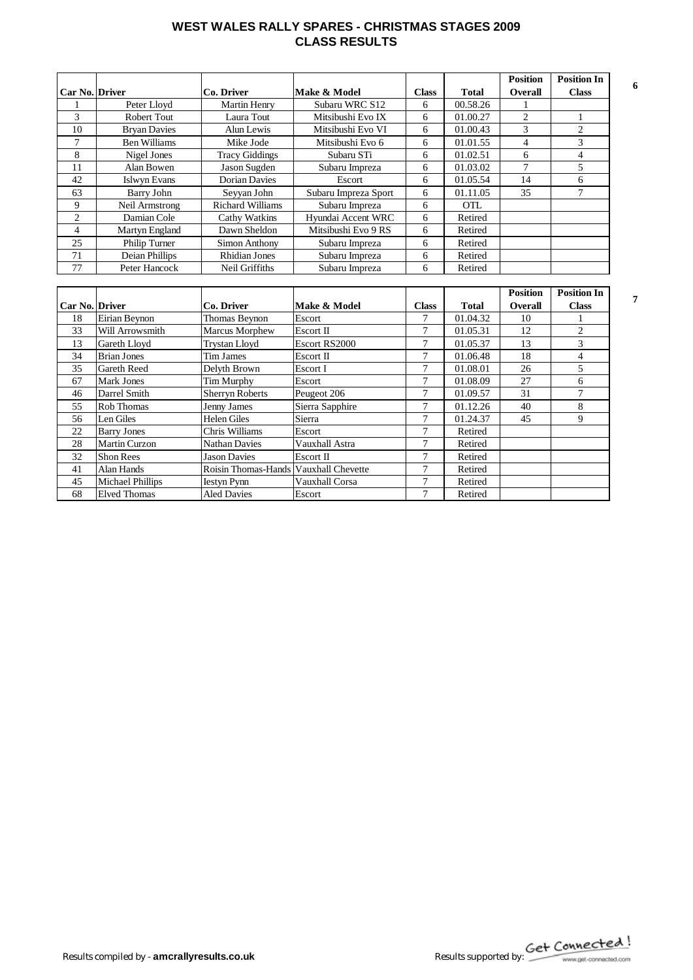#### **WEST WALES RALLY SPARES - CHRISTMAS STAGES 2009 CLASS RESULTS**

|                       |                     |                         |                      |                |              | <b>Position</b> | <b>Position In</b> |
|-----------------------|---------------------|-------------------------|----------------------|----------------|--------------|-----------------|--------------------|
| <b>Car No. Driver</b> |                     | Co. Driver              | Make & Model         | <b>Class</b>   | <b>Total</b> | <b>Overall</b>  | <b>Class</b>       |
|                       | Peter Lloyd         | <b>Martin Henry</b>     | Subaru WRC S12       | 6              | 00.58.26     |                 |                    |
| 3                     | Robert Tout         | Laura Tout              | Mitsibushi Evo IX    | 6              | 01.00.27     | $\overline{c}$  |                    |
| 10                    | <b>Bryan Davies</b> | Alun Lewis              | Mitsibushi Evo VI    | 6              | 01.00.43     | 3               | $\overline{2}$     |
| $\overline{7}$        | <b>Ben Williams</b> | Mike Jode               | Mitsibushi Evo 6     | 6              | 01.01.55     | $\overline{4}$  | 3                  |
| 8                     | Nigel Jones         | <b>Tracy Giddings</b>   | Subaru STi           | 6              | 01.02.51     | 6               | $\overline{4}$     |
| 11                    | Alan Bowen          | Jason Sugden            | Subaru Impreza       | 6              | 01.03.02     | $\overline{7}$  | 5                  |
| 42                    | <b>Islwyn Evans</b> | <b>Dorian Davies</b>    | Escort               | 6              | 01.05.54     | 14              | 6                  |
| 63                    | <b>Barry John</b>   | Seyyan John             | Subaru Impreza Sport | 6              | 01.11.05     | 35              | 7                  |
| 9                     | Neil Armstrong      | <b>Richard Williams</b> | Subaru Impreza       | 6              | <b>OTL</b>   |                 |                    |
| $\overline{2}$        | Damian Cole         | Cathy Watkins           | Hyundai Accent WRC   | 6              | Retired      |                 |                    |
| 4                     | Martyn England      | Dawn Sheldon            | Mitsibushi Evo 9 RS  | 6              | Retired      |                 |                    |
| 25                    | Philip Turner       | Simon Anthony           | Subaru Impreza       | 6              | Retired      |                 |                    |
| 71                    | Deian Phillips      | <b>Rhidian Jones</b>    | Subaru Impreza       | 6              | Retired      |                 |                    |
| 77                    | Peter Hancock       | Neil Griffiths          | Subaru Impreza       | 6              | Retired      |                 |                    |
|                       |                     |                         |                      |                |              |                 |                    |
|                       |                     |                         |                      |                |              | <b>Position</b> | <b>Position In</b> |
| <b>Car No. Driver</b> |                     | Co. Driver              | Make & Model         | <b>Class</b>   | <b>Total</b> | <b>Overall</b>  | <b>Class</b>       |
| 18                    | Eirian Beynon       | Thomas Beynon           | Escort               | 7              | 01.04.32     | 10              |                    |
| 33                    | Will Arrowsmith     | Marcus Morphew          | Escort II            | $\tau$         | 01.05.31     | 12              | 2                  |
| 13                    | Gareth Lloyd        | <b>Trystan Lloyd</b>    | Escort RS2000        | $\tau$         | 01.05.37     | 13              | 3                  |
| 34                    | <b>Brian Jones</b>  | Tim James               | Escort II            | $\overline{7}$ | 01.06.48     | 18              | $\overline{4}$     |

35 Gareth Reed Delyth Brown Escort 1 7 01.08.01 26 5 67 Mark Jones Tim Murphy Escort 7 01.08.09 27 6<br>46 Darrel Smith Sherryn Roberts Peugeot 206 7 01.09.57 31 7 Parrel Smith Sherryn Roberts Peugeot 206 7 01.09.57 31 7<br>
Rob Thomas Jenny James Sierra Sapphire 7 01.12.26 40 8 155 Rob Thomas Jenny James Sierra Sapphire 7 01.12.26 40 8<br>
156 Len Giles Helen Giles Sierra 7 01.24.37 45 9 56 Len Giles | Helen Giles | Sierra | 7 | 01.24.37 | 45 | 9

22 Barry Jones Chris Williams Escort 7 Retired 28 Martin Curzon Nathan Davies Vauxhall Astra 7 Retired<br>
22 Shon Rees Jason Davies Escort II 7 Retired 32 Shon Rees Jason Davies Escort II 7 Retired<br>41 Alan Hands Roisin Thomas-Hands Vauxhall Chevette 7 Retired 41 Alan Hands Roisin Thomas-Hands Vauxhall Chevette 7 Retired<br>45 Michael Phillips Iestyn Pynn Vauxhall Corsa 7 Retired 45 Michael Phillips Iestyn Pynn Vauxhall Corsa 7 Retired<br>68 Elved Thomas Aled Davies Escort 7 Retired Elved Thomas Aled Davies Escort 7 Retired